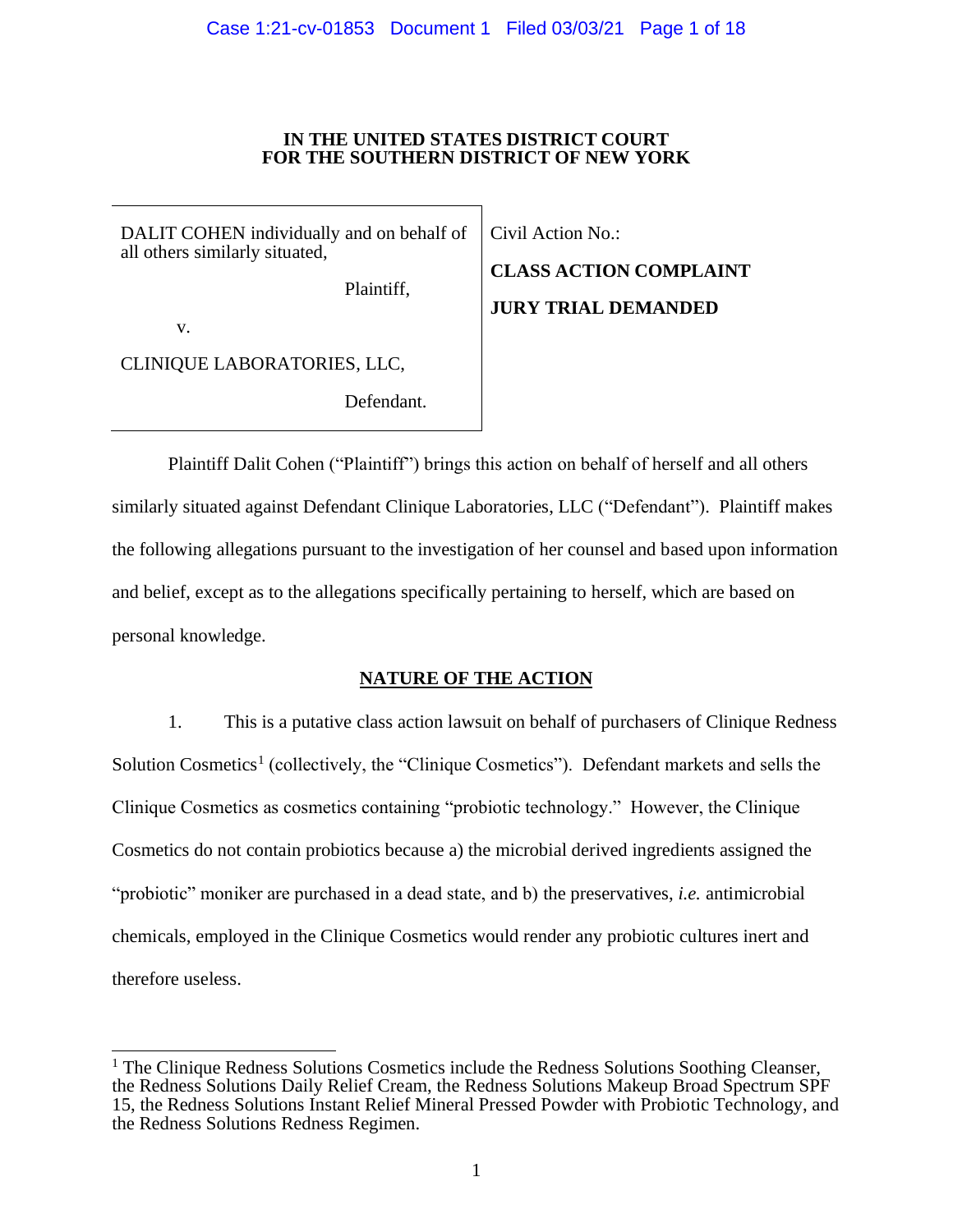## **IN THE UNITED STATES DISTRICT COURT FOR THE SOUTHERN DISTRICT OF NEW YORK**

DALIT COHEN individually and on behalf of all others similarly situated,

Plaintiff,

Civil Action No.:

**CLASS ACTION COMPLAINT JURY TRIAL DEMANDED**

v.

CLINIQUE LABORATORIES, LLC,

Defendant.

Plaintiff Dalit Cohen ("Plaintiff") brings this action on behalf of herself and all others similarly situated against Defendant Clinique Laboratories, LLC ("Defendant"). Plaintiff makes the following allegations pursuant to the investigation of her counsel and based upon information and belief, except as to the allegations specifically pertaining to herself, which are based on personal knowledge.

# **NATURE OF THE ACTION**

1. This is a putative class action lawsuit on behalf of purchasers of Clinique Redness Solution Cosmetics<sup>1</sup> (collectively, the "Clinique Cosmetics"). Defendant markets and sells the Clinique Cosmetics as cosmetics containing "probiotic technology." However, the Clinique Cosmetics do not contain probiotics because a) the microbial derived ingredients assigned the "probiotic" moniker are purchased in a dead state, and b) the preservatives, *i.e.* antimicrobial chemicals, employed in the Clinique Cosmetics would render any probiotic cultures inert and therefore useless.

<sup>&</sup>lt;sup>1</sup> The Clinique Redness Solutions Cosmetics include the Redness Solutions Soothing Cleanser, the Redness Solutions Daily Relief Cream, the Redness Solutions Makeup Broad Spectrum SPF 15, the Redness Solutions Instant Relief Mineral Pressed Powder with Probiotic Technology, and the Redness Solutions Redness Regimen.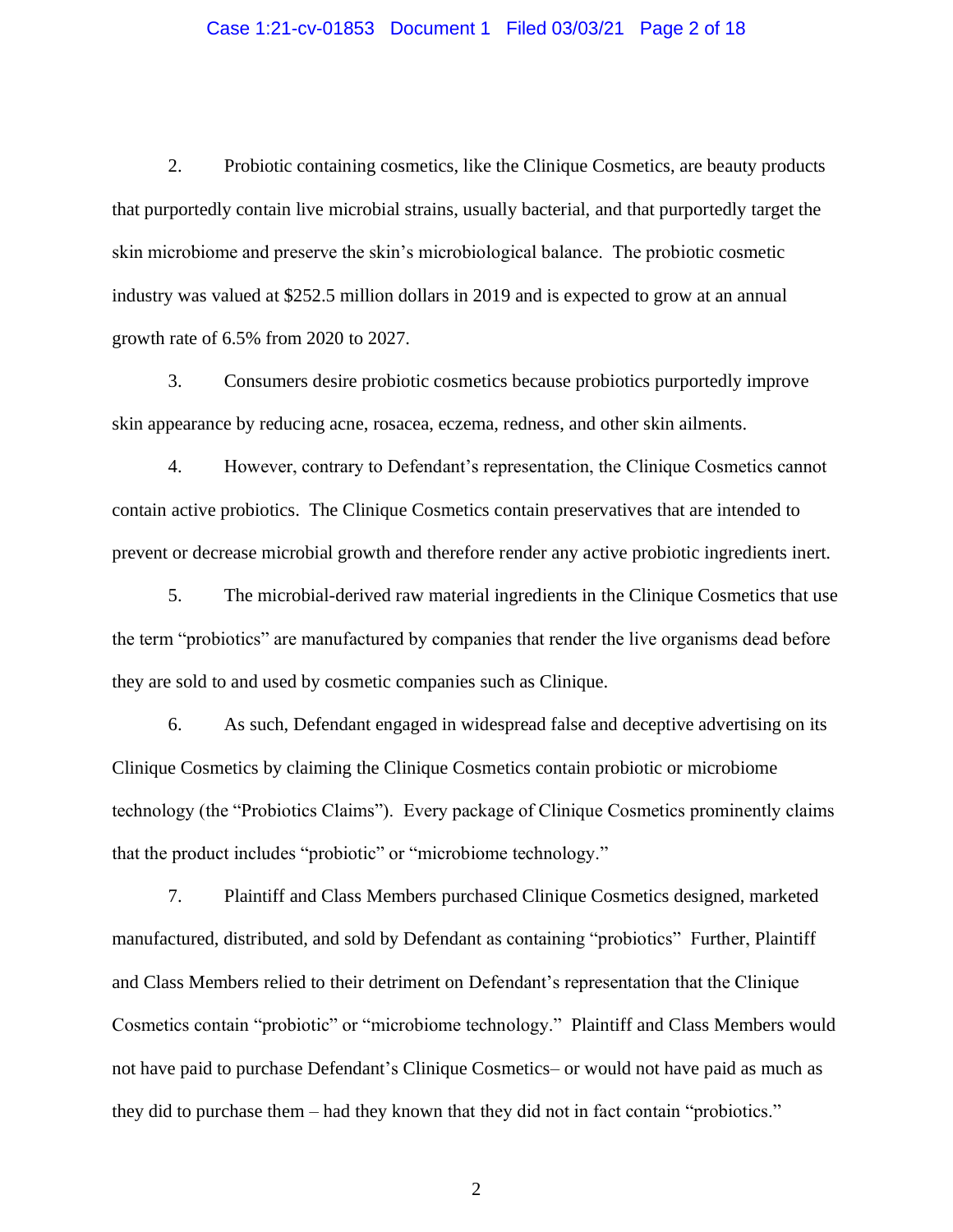## Case 1:21-cv-01853 Document 1 Filed 03/03/21 Page 2 of 18

2. Probiotic containing cosmetics, like the Clinique Cosmetics, are beauty products that purportedly contain live microbial strains, usually bacterial, and that purportedly target the skin microbiome and preserve the skin's microbiological balance. The probiotic cosmetic industry was valued at \$252.5 million dollars in 2019 and is expected to grow at an annual growth rate of 6.5% from 2020 to 2027.

3. Consumers desire probiotic cosmetics because probiotics purportedly improve skin appearance by reducing acne, rosacea, eczema, redness, and other skin ailments.

4. However, contrary to Defendant's representation, the Clinique Cosmetics cannot contain active probiotics. The Clinique Cosmetics contain preservatives that are intended to prevent or decrease microbial growth and therefore render any active probiotic ingredients inert.

5. The microbial-derived raw material ingredients in the Clinique Cosmetics that use the term "probiotics" are manufactured by companies that render the live organisms dead before they are sold to and used by cosmetic companies such as Clinique.

6. As such, Defendant engaged in widespread false and deceptive advertising on its Clinique Cosmetics by claiming the Clinique Cosmetics contain probiotic or microbiome technology (the "Probiotics Claims"). Every package of Clinique Cosmetics prominently claims that the product includes "probiotic" or "microbiome technology."

7. Plaintiff and Class Members purchased Clinique Cosmetics designed, marketed manufactured, distributed, and sold by Defendant as containing "probiotics" Further, Plaintiff and Class Members relied to their detriment on Defendant's representation that the Clinique Cosmetics contain "probiotic" or "microbiome technology." Plaintiff and Class Members would not have paid to purchase Defendant's Clinique Cosmetics– or would not have paid as much as they did to purchase them – had they known that they did not in fact contain "probiotics."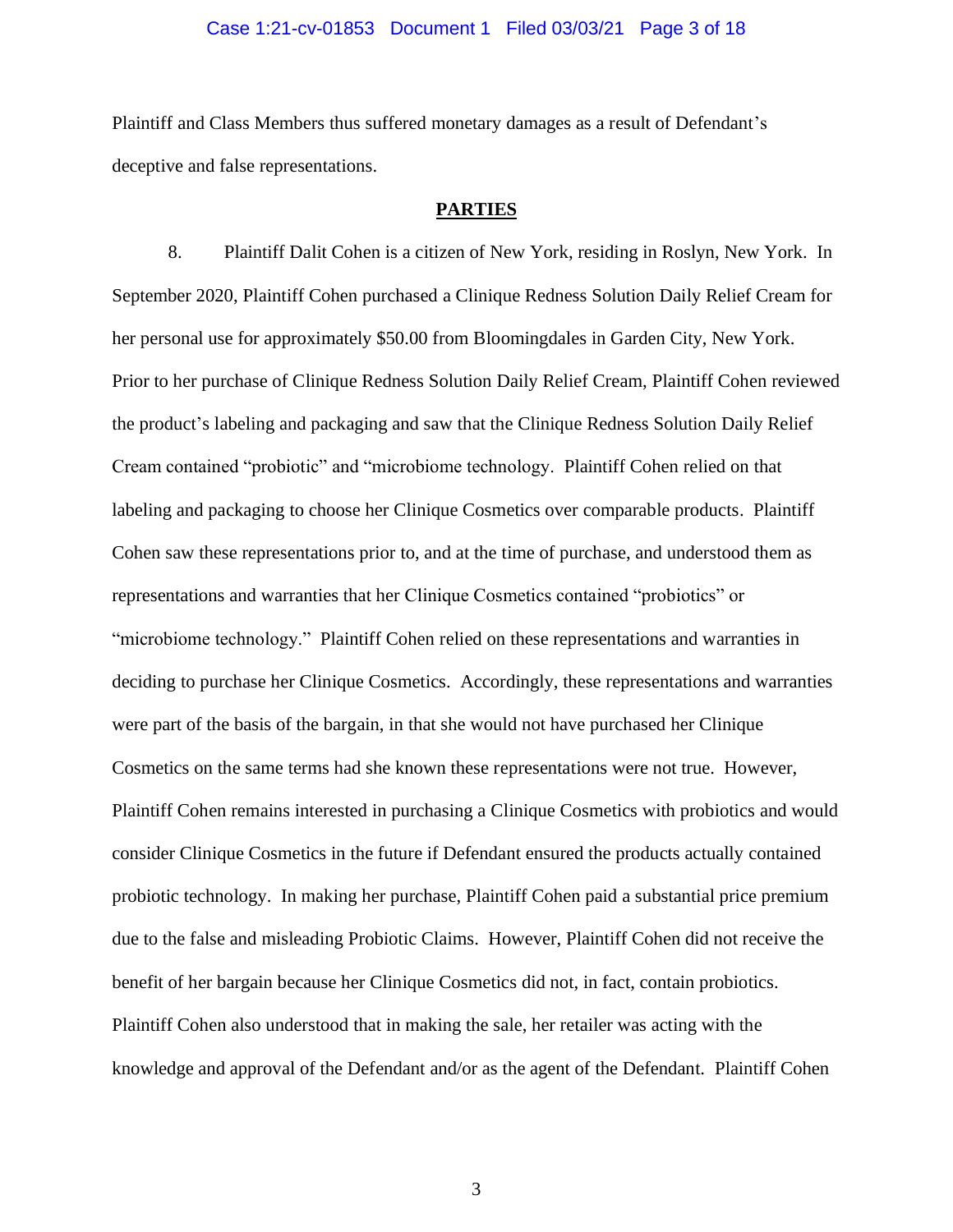## Case 1:21-cv-01853 Document 1 Filed 03/03/21 Page 3 of 18

Plaintiff and Class Members thus suffered monetary damages as a result of Defendant's deceptive and false representations.

## **PARTIES**

8. Plaintiff Dalit Cohen is a citizen of New York, residing in Roslyn, New York. In September 2020, Plaintiff Cohen purchased a Clinique Redness Solution Daily Relief Cream for her personal use for approximately \$50.00 from Bloomingdales in Garden City, New York. Prior to her purchase of Clinique Redness Solution Daily Relief Cream, Plaintiff Cohen reviewed the product's labeling and packaging and saw that the Clinique Redness Solution Daily Relief Cream contained "probiotic" and "microbiome technology. Plaintiff Cohen relied on that labeling and packaging to choose her Clinique Cosmetics over comparable products. Plaintiff Cohen saw these representations prior to, and at the time of purchase, and understood them as representations and warranties that her Clinique Cosmetics contained "probiotics" or "microbiome technology." Plaintiff Cohen relied on these representations and warranties in deciding to purchase her Clinique Cosmetics. Accordingly, these representations and warranties were part of the basis of the bargain, in that she would not have purchased her Clinique Cosmetics on the same terms had she known these representations were not true. However, Plaintiff Cohen remains interested in purchasing a Clinique Cosmetics with probiotics and would consider Clinique Cosmetics in the future if Defendant ensured the products actually contained probiotic technology. In making her purchase, Plaintiff Cohen paid a substantial price premium due to the false and misleading Probiotic Claims. However, Plaintiff Cohen did not receive the benefit of her bargain because her Clinique Cosmetics did not, in fact, contain probiotics. Plaintiff Cohen also understood that in making the sale, her retailer was acting with the knowledge and approval of the Defendant and/or as the agent of the Defendant. Plaintiff Cohen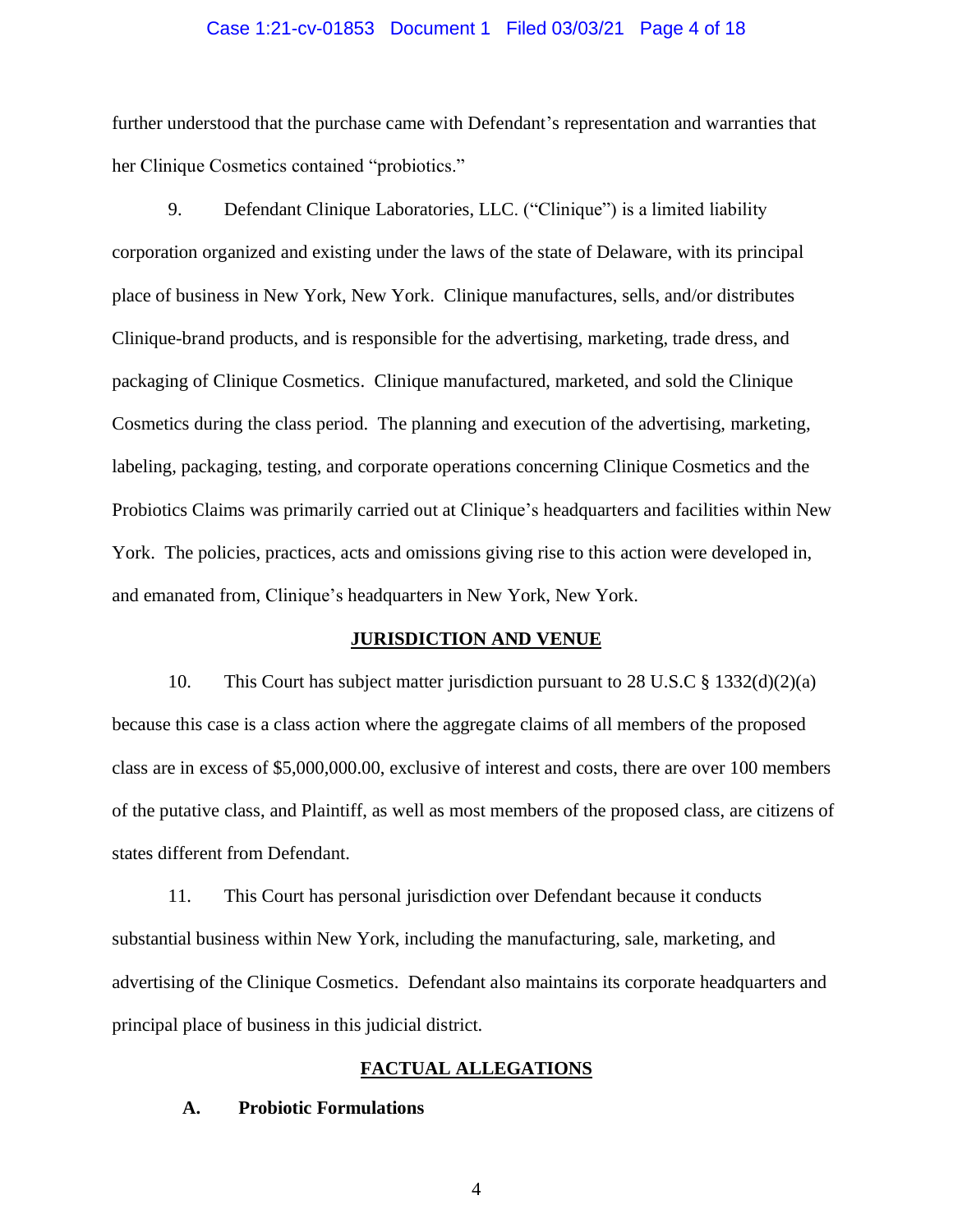## Case 1:21-cv-01853 Document 1 Filed 03/03/21 Page 4 of 18

further understood that the purchase came with Defendant's representation and warranties that her Clinique Cosmetics contained "probiotics."

9. Defendant Clinique Laboratories, LLC. ("Clinique") is a limited liability corporation organized and existing under the laws of the state of Delaware, with its principal place of business in New York, New York. Clinique manufactures, sells, and/or distributes Clinique-brand products, and is responsible for the advertising, marketing, trade dress, and packaging of Clinique Cosmetics. Clinique manufactured, marketed, and sold the Clinique Cosmetics during the class period. The planning and execution of the advertising, marketing, labeling, packaging, testing, and corporate operations concerning Clinique Cosmetics and the Probiotics Claims was primarily carried out at Clinique's headquarters and facilities within New York. The policies, practices, acts and omissions giving rise to this action were developed in, and emanated from, Clinique's headquarters in New York, New York.

## **JURISDICTION AND VENUE**

10. This Court has subject matter jurisdiction pursuant to 28 U.S.C  $\S$  1332(d)(2)(a) because this case is a class action where the aggregate claims of all members of the proposed class are in excess of \$5,000,000.00, exclusive of interest and costs, there are over 100 members of the putative class, and Plaintiff, as well as most members of the proposed class, are citizens of states different from Defendant.

11. This Court has personal jurisdiction over Defendant because it conducts substantial business within New York, including the manufacturing, sale, marketing, and advertising of the Clinique Cosmetics. Defendant also maintains its corporate headquarters and principal place of business in this judicial district.

## **FACTUAL ALLEGATIONS**

## **A. Probiotic Formulations**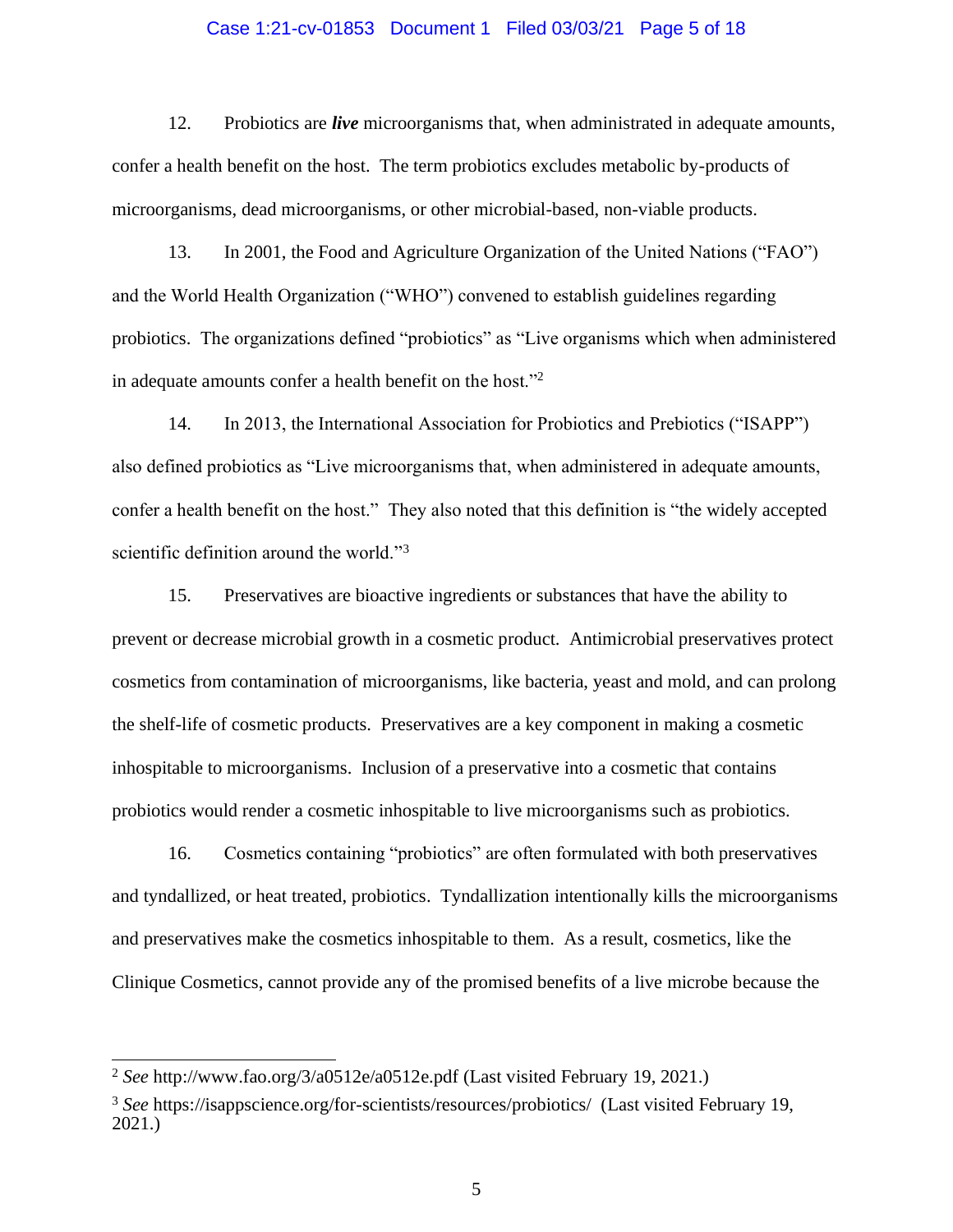## Case 1:21-cv-01853 Document 1 Filed 03/03/21 Page 5 of 18

12. Probiotics are *live* microorganisms that, when administrated in adequate amounts, confer a health benefit on the host. The term probiotics excludes metabolic by-products of microorganisms, dead microorganisms, or other microbial-based, non-viable products.

13. In 2001, the Food and Agriculture Organization of the United Nations ("FAO") and the World Health Organization ("WHO") convened to establish guidelines regarding probiotics. The organizations defined "probiotics" as "Live organisms which when administered in adequate amounts confer a health benefit on the host."<sup>2</sup>

14. In 2013, the International Association for Probiotics and Prebiotics ("ISAPP") also defined probiotics as "Live microorganisms that, when administered in adequate amounts, confer a health benefit on the host." They also noted that this definition is "the widely accepted scientific definition around the world."<sup>3</sup>

15. Preservatives are bioactive ingredients or substances that have the ability to prevent or decrease microbial growth in a cosmetic product. Antimicrobial preservatives protect cosmetics from contamination of microorganisms, like bacteria, yeast and mold, and can prolong the shelf-life of cosmetic products. Preservatives are a key component in making a cosmetic inhospitable to microorganisms. Inclusion of a preservative into a cosmetic that contains probiotics would render a cosmetic inhospitable to live microorganisms such as probiotics.

16. Cosmetics containing "probiotics" are often formulated with both preservatives and tyndallized, or heat treated, probiotics. Tyndallization intentionally kills the microorganisms and preservatives make the cosmetics inhospitable to them. As a result, cosmetics, like the Clinique Cosmetics, cannot provide any of the promised benefits of a live microbe because the

<sup>2</sup> *See* http://www.fao.org/3/a0512e/a0512e.pdf (Last visited February 19, 2021.)

<sup>3</sup> *See* https://isappscience.org/for-scientists/resources/probiotics/ (Last visited February 19, 2021.)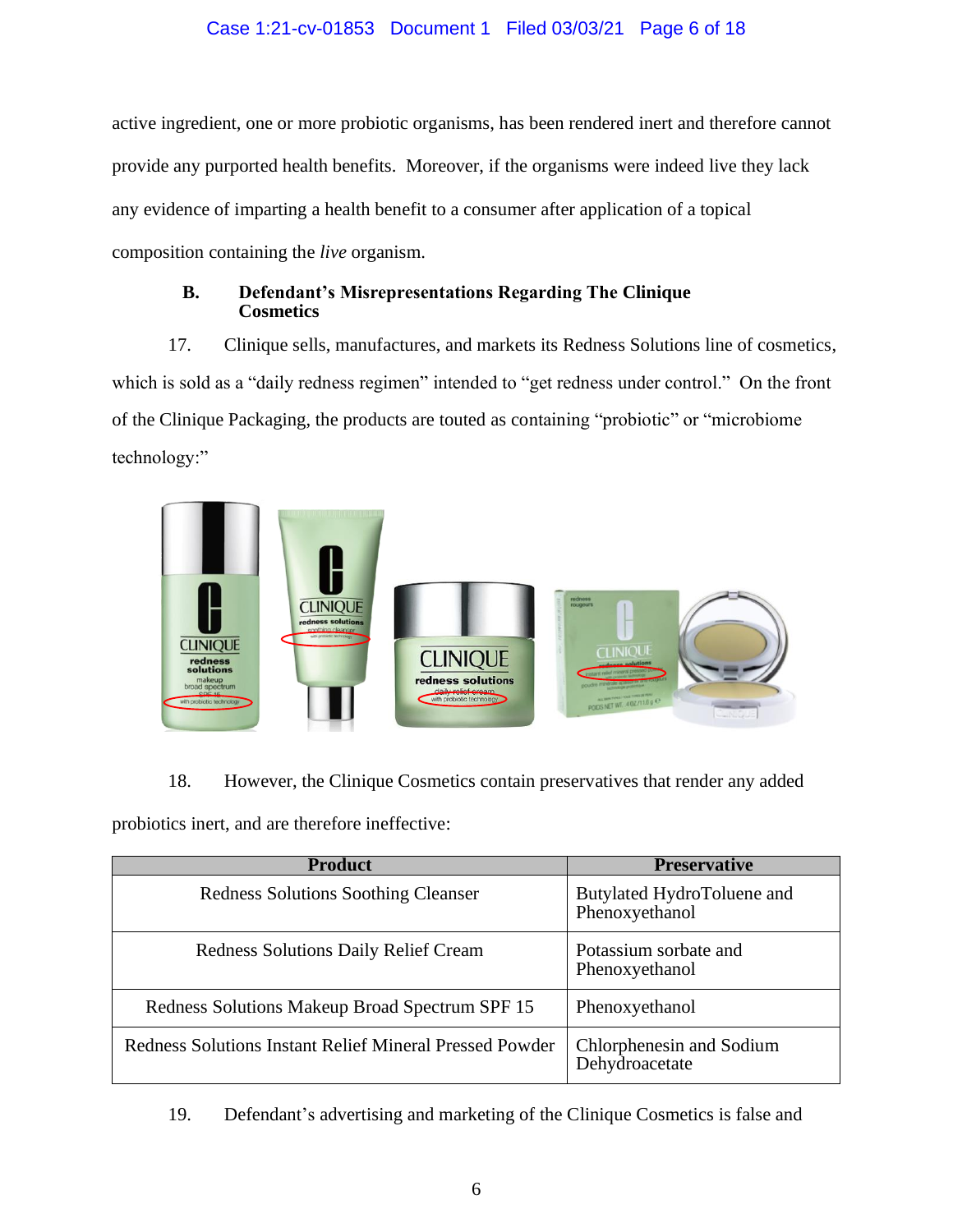# Case 1:21-cv-01853 Document 1 Filed 03/03/21 Page 6 of 18

active ingredient, one or more probiotic organisms, has been rendered inert and therefore cannot provide any purported health benefits. Moreover, if the organisms were indeed live they lack any evidence of imparting a health benefit to a consumer after application of a topical composition containing the *live* organism.

# **B. Defendant's Misrepresentations Regarding The Clinique Cosmetics**

17. Clinique sells, manufactures, and markets its Redness Solutions line of cosmetics, which is sold as a "daily redness regimen" intended to "get redness under control." On the front of the Clinique Packaging, the products are touted as containing "probiotic" or "microbiome technology:"



18. However, the Clinique Cosmetics contain preservatives that render any added probiotics inert, and are therefore ineffective:

| <b>Product</b>                                                 | <b>Preservative</b>                          |
|----------------------------------------------------------------|----------------------------------------------|
| <b>Redness Solutions Soothing Cleanser</b>                     | Butylated HydroToluene and<br>Phenoxyethanol |
| <b>Redness Solutions Daily Relief Cream</b>                    | Potassium sorbate and<br>Phenoxyethanol      |
| Redness Solutions Makeup Broad Spectrum SPF 15                 | Phenoxyethanol                               |
| <b>Redness Solutions Instant Relief Mineral Pressed Powder</b> | Chlorphenesin and Sodium<br>Dehydroacetate   |

19. Defendant's advertising and marketing of the Clinique Cosmetics is false and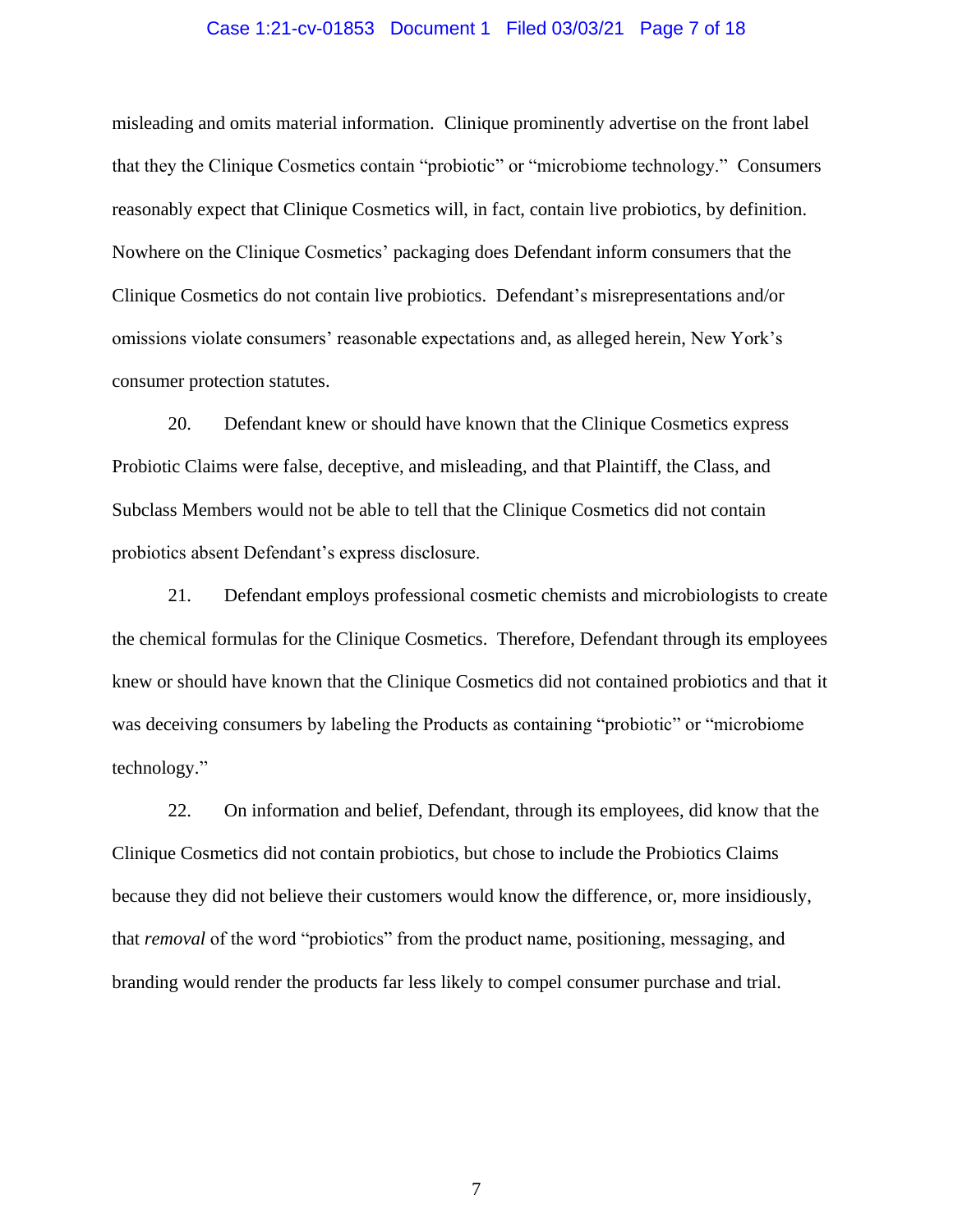## Case 1:21-cv-01853 Document 1 Filed 03/03/21 Page 7 of 18

misleading and omits material information. Clinique prominently advertise on the front label that they the Clinique Cosmetics contain "probiotic" or "microbiome technology." Consumers reasonably expect that Clinique Cosmetics will, in fact, contain live probiotics, by definition. Nowhere on the Clinique Cosmetics' packaging does Defendant inform consumers that the Clinique Cosmetics do not contain live probiotics. Defendant's misrepresentations and/or omissions violate consumers' reasonable expectations and, as alleged herein, New York's consumer protection statutes.

20. Defendant knew or should have known that the Clinique Cosmetics express Probiotic Claims were false, deceptive, and misleading, and that Plaintiff, the Class, and Subclass Members would not be able to tell that the Clinique Cosmetics did not contain probiotics absent Defendant's express disclosure.

21. Defendant employs professional cosmetic chemists and microbiologists to create the chemical formulas for the Clinique Cosmetics. Therefore, Defendant through its employees knew or should have known that the Clinique Cosmetics did not contained probiotics and that it was deceiving consumers by labeling the Products as containing "probiotic" or "microbiome technology."

22. On information and belief, Defendant, through its employees, did know that the Clinique Cosmetics did not contain probiotics, but chose to include the Probiotics Claims because they did not believe their customers would know the difference, or, more insidiously, that *removal* of the word "probiotics" from the product name, positioning, messaging, and branding would render the products far less likely to compel consumer purchase and trial.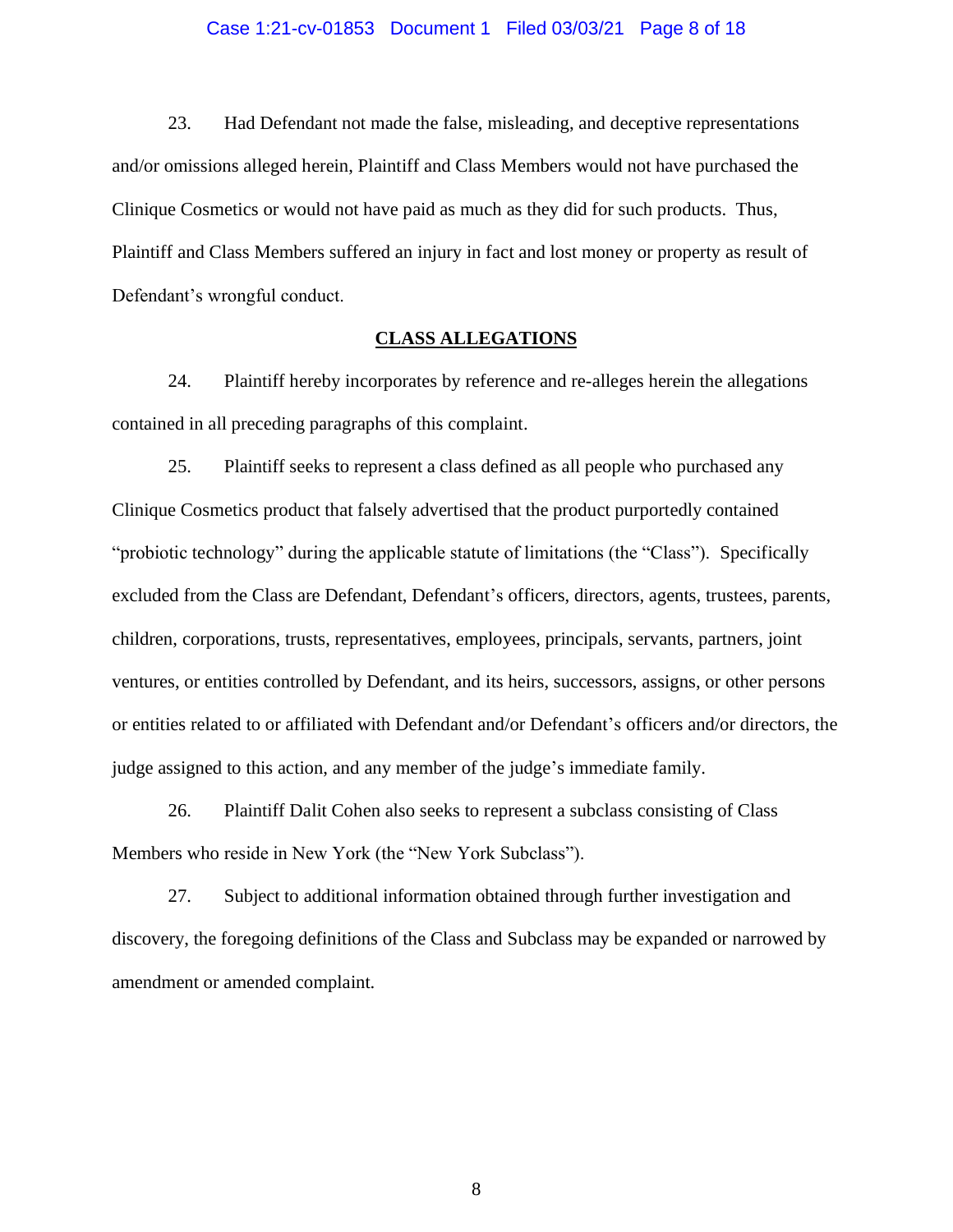## Case 1:21-cv-01853 Document 1 Filed 03/03/21 Page 8 of 18

23. Had Defendant not made the false, misleading, and deceptive representations and/or omissions alleged herein, Plaintiff and Class Members would not have purchased the Clinique Cosmetics or would not have paid as much as they did for such products. Thus, Plaintiff and Class Members suffered an injury in fact and lost money or property as result of Defendant's wrongful conduct.

## **CLASS ALLEGATIONS**

24. Plaintiff hereby incorporates by reference and re-alleges herein the allegations contained in all preceding paragraphs of this complaint.

25. Plaintiff seeks to represent a class defined as all people who purchased any Clinique Cosmetics product that falsely advertised that the product purportedly contained "probiotic technology" during the applicable statute of limitations (the "Class"). Specifically excluded from the Class are Defendant, Defendant's officers, directors, agents, trustees, parents, children, corporations, trusts, representatives, employees, principals, servants, partners, joint ventures, or entities controlled by Defendant, and its heirs, successors, assigns, or other persons or entities related to or affiliated with Defendant and/or Defendant's officers and/or directors, the judge assigned to this action, and any member of the judge's immediate family.

26. Plaintiff Dalit Cohen also seeks to represent a subclass consisting of Class Members who reside in New York (the "New York Subclass").

27. Subject to additional information obtained through further investigation and discovery, the foregoing definitions of the Class and Subclass may be expanded or narrowed by amendment or amended complaint.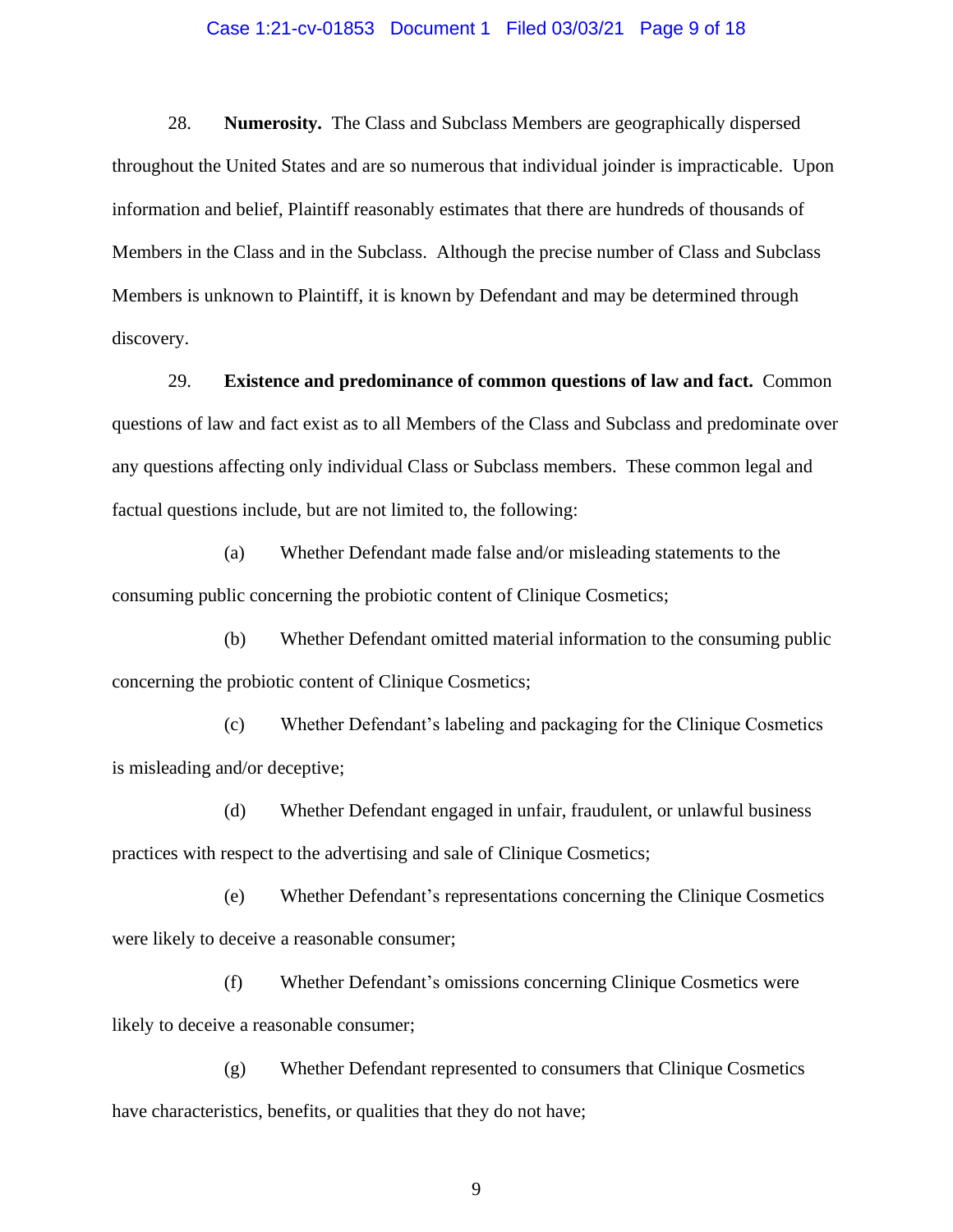## Case 1:21-cv-01853 Document 1 Filed 03/03/21 Page 9 of 18

28. **Numerosity.** The Class and Subclass Members are geographically dispersed throughout the United States and are so numerous that individual joinder is impracticable. Upon information and belief, Plaintiff reasonably estimates that there are hundreds of thousands of Members in the Class and in the Subclass. Although the precise number of Class and Subclass Members is unknown to Plaintiff, it is known by Defendant and may be determined through discovery.

29. **Existence and predominance of common questions of law and fact.** Common questions of law and fact exist as to all Members of the Class and Subclass and predominate over any questions affecting only individual Class or Subclass members. These common legal and factual questions include, but are not limited to, the following:

(a) Whether Defendant made false and/or misleading statements to the consuming public concerning the probiotic content of Clinique Cosmetics;

(b) Whether Defendant omitted material information to the consuming public concerning the probiotic content of Clinique Cosmetics;

(c) Whether Defendant's labeling and packaging for the Clinique Cosmetics is misleading and/or deceptive;

(d) Whether Defendant engaged in unfair, fraudulent, or unlawful business practices with respect to the advertising and sale of Clinique Cosmetics;

(e) Whether Defendant's representations concerning the Clinique Cosmetics were likely to deceive a reasonable consumer;

(f) Whether Defendant's omissions concerning Clinique Cosmetics were likely to deceive a reasonable consumer;

(g) Whether Defendant represented to consumers that Clinique Cosmetics have characteristics, benefits, or qualities that they do not have;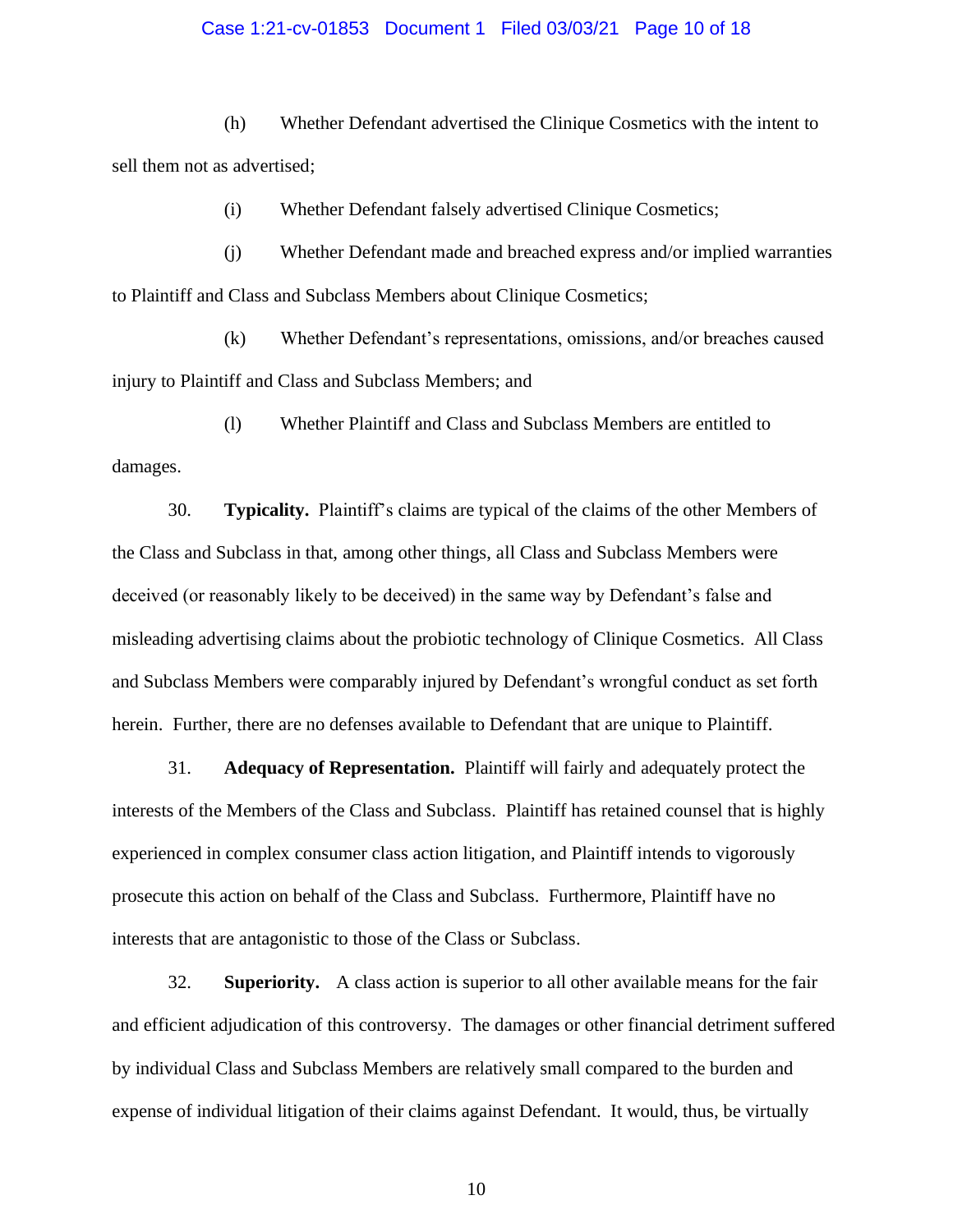## Case 1:21-cv-01853 Document 1 Filed 03/03/21 Page 10 of 18

(h) Whether Defendant advertised the Clinique Cosmetics with the intent to sell them not as advertised;

(i) Whether Defendant falsely advertised Clinique Cosmetics;

(j) Whether Defendant made and breached express and/or implied warranties to Plaintiff and Class and Subclass Members about Clinique Cosmetics;

(k) Whether Defendant's representations, omissions, and/or breaches caused injury to Plaintiff and Class and Subclass Members; and

(l) Whether Plaintiff and Class and Subclass Members are entitled to damages.

30. **Typicality.** Plaintiff's claims are typical of the claims of the other Members of the Class and Subclass in that, among other things, all Class and Subclass Members were deceived (or reasonably likely to be deceived) in the same way by Defendant's false and misleading advertising claims about the probiotic technology of Clinique Cosmetics. All Class and Subclass Members were comparably injured by Defendant's wrongful conduct as set forth herein. Further, there are no defenses available to Defendant that are unique to Plaintiff.

31. **Adequacy of Representation.** Plaintiff will fairly and adequately protect the interests of the Members of the Class and Subclass. Plaintiff has retained counsel that is highly experienced in complex consumer class action litigation, and Plaintiff intends to vigorously prosecute this action on behalf of the Class and Subclass. Furthermore, Plaintiff have no interests that are antagonistic to those of the Class or Subclass.

32. **Superiority.** A class action is superior to all other available means for the fair and efficient adjudication of this controversy. The damages or other financial detriment suffered by individual Class and Subclass Members are relatively small compared to the burden and expense of individual litigation of their claims against Defendant. It would, thus, be virtually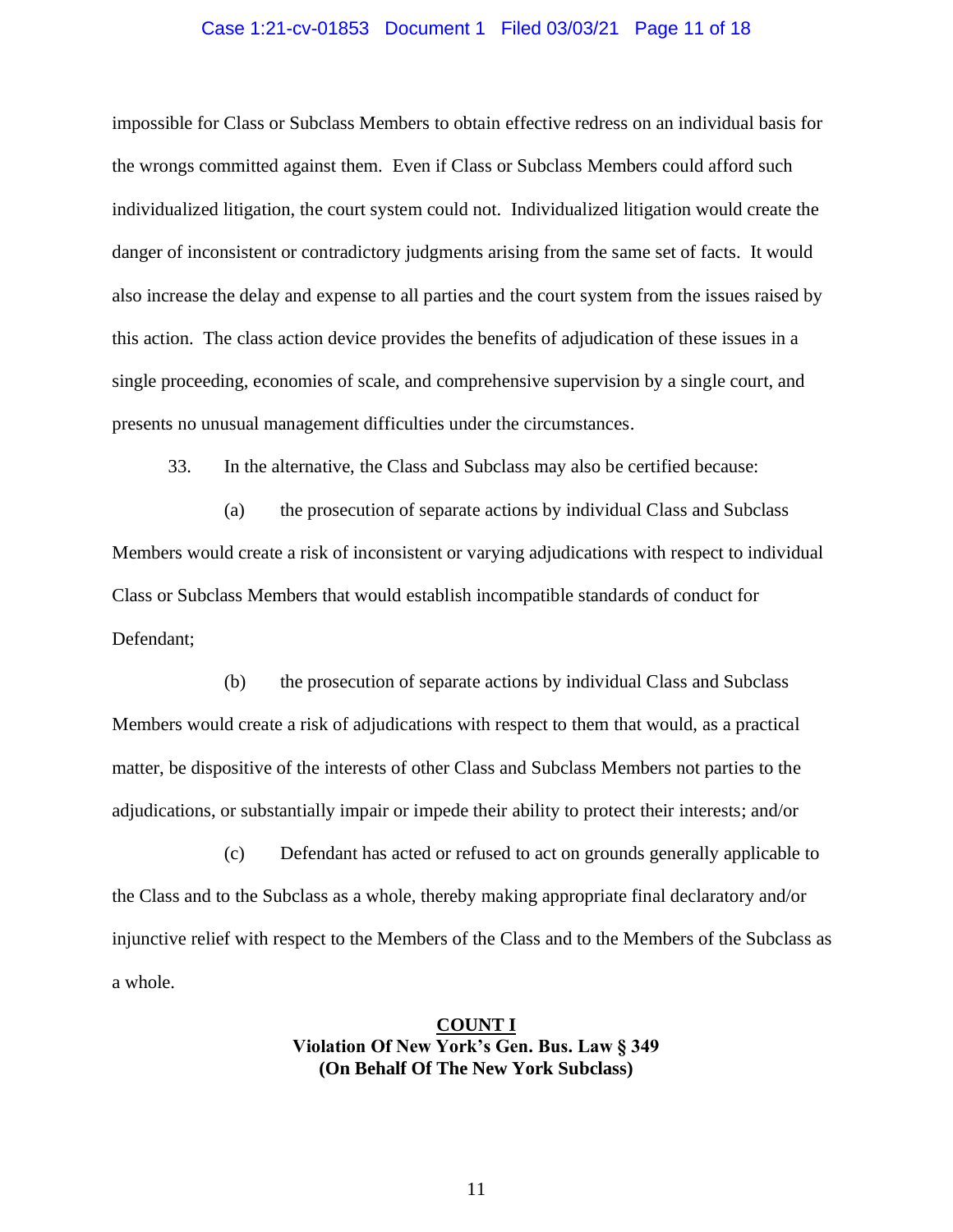#### Case 1:21-cv-01853 Document 1 Filed 03/03/21 Page 11 of 18

impossible for Class or Subclass Members to obtain effective redress on an individual basis for the wrongs committed against them. Even if Class or Subclass Members could afford such individualized litigation, the court system could not. Individualized litigation would create the danger of inconsistent or contradictory judgments arising from the same set of facts. It would also increase the delay and expense to all parties and the court system from the issues raised by this action. The class action device provides the benefits of adjudication of these issues in a single proceeding, economies of scale, and comprehensive supervision by a single court, and presents no unusual management difficulties under the circumstances.

33. In the alternative, the Class and Subclass may also be certified because:

(a) the prosecution of separate actions by individual Class and Subclass Members would create a risk of inconsistent or varying adjudications with respect to individual Class or Subclass Members that would establish incompatible standards of conduct for Defendant;

(b) the prosecution of separate actions by individual Class and Subclass Members would create a risk of adjudications with respect to them that would, as a practical matter, be dispositive of the interests of other Class and Subclass Members not parties to the adjudications, or substantially impair or impede their ability to protect their interests; and/or

(c) Defendant has acted or refused to act on grounds generally applicable to the Class and to the Subclass as a whole, thereby making appropriate final declaratory and/or injunctive relief with respect to the Members of the Class and to the Members of the Subclass as a whole.

> **COUNT I Violation Of New York's Gen. Bus. Law § 349 (On Behalf Of The New York Subclass)**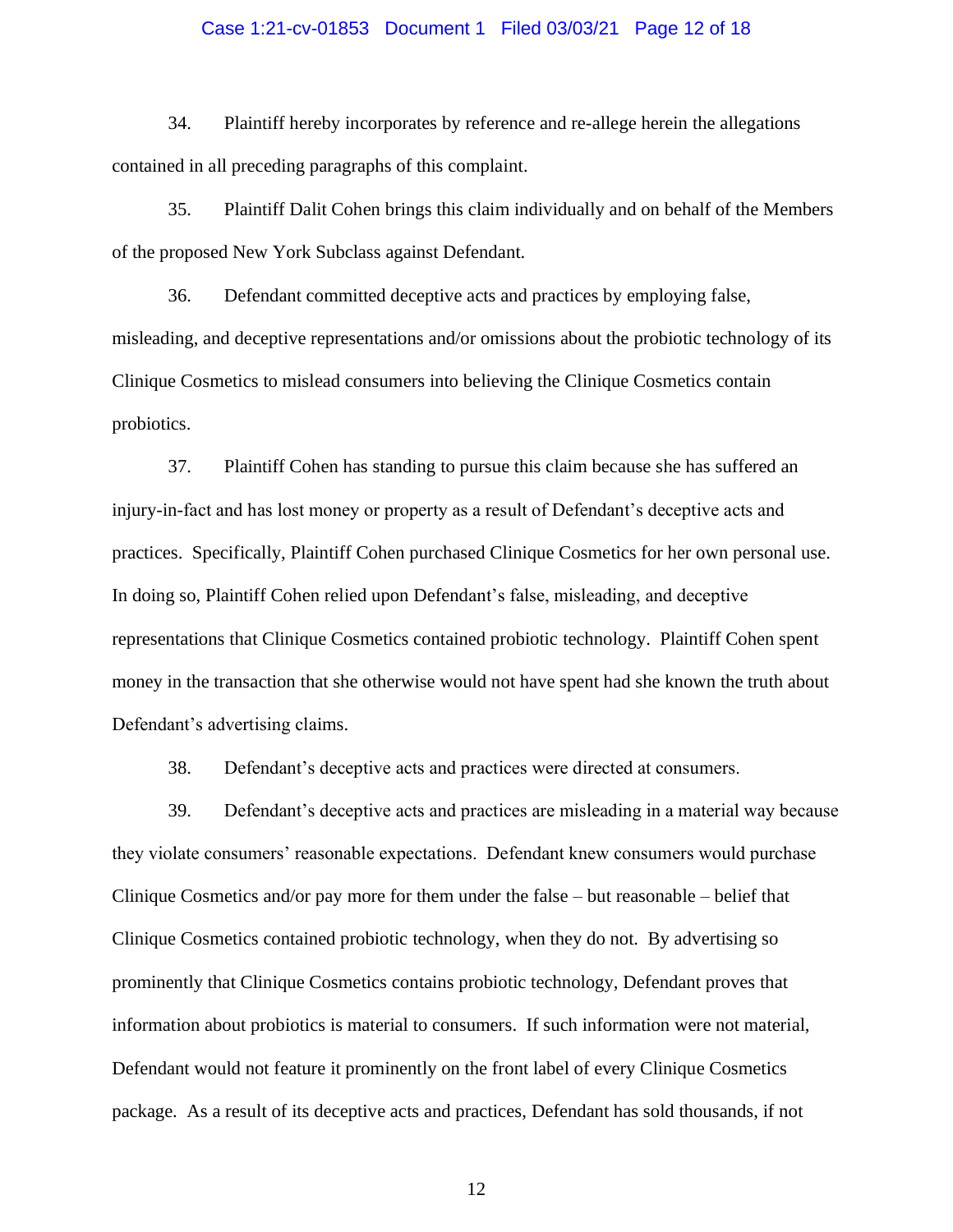## Case 1:21-cv-01853 Document 1 Filed 03/03/21 Page 12 of 18

34. Plaintiff hereby incorporates by reference and re-allege herein the allegations contained in all preceding paragraphs of this complaint.

35. Plaintiff Dalit Cohen brings this claim individually and on behalf of the Members of the proposed New York Subclass against Defendant.

36. Defendant committed deceptive acts and practices by employing false, misleading, and deceptive representations and/or omissions about the probiotic technology of its Clinique Cosmetics to mislead consumers into believing the Clinique Cosmetics contain probiotics.

37. Plaintiff Cohen has standing to pursue this claim because she has suffered an injury-in-fact and has lost money or property as a result of Defendant's deceptive acts and practices. Specifically, Plaintiff Cohen purchased Clinique Cosmetics for her own personal use. In doing so, Plaintiff Cohen relied upon Defendant's false, misleading, and deceptive representations that Clinique Cosmetics contained probiotic technology. Plaintiff Cohen spent money in the transaction that she otherwise would not have spent had she known the truth about Defendant's advertising claims.

38. Defendant's deceptive acts and practices were directed at consumers.

39. Defendant's deceptive acts and practices are misleading in a material way because they violate consumers' reasonable expectations. Defendant knew consumers would purchase Clinique Cosmetics and/or pay more for them under the false – but reasonable – belief that Clinique Cosmetics contained probiotic technology, when they do not. By advertising so prominently that Clinique Cosmetics contains probiotic technology, Defendant proves that information about probiotics is material to consumers. If such information were not material, Defendant would not feature it prominently on the front label of every Clinique Cosmetics package. As a result of its deceptive acts and practices, Defendant has sold thousands, if not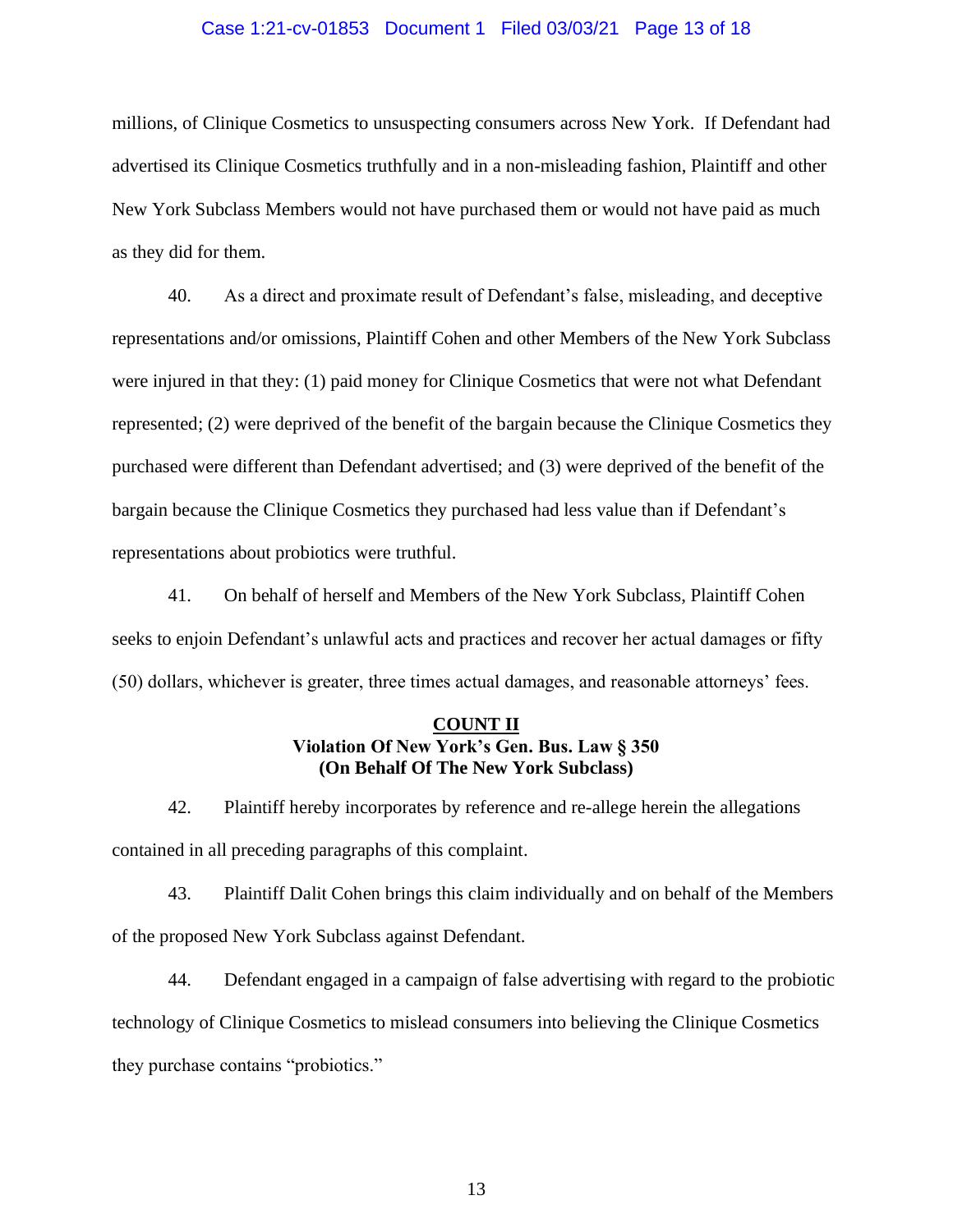## Case 1:21-cv-01853 Document 1 Filed 03/03/21 Page 13 of 18

millions, of Clinique Cosmetics to unsuspecting consumers across New York. If Defendant had advertised its Clinique Cosmetics truthfully and in a non-misleading fashion, Plaintiff and other New York Subclass Members would not have purchased them or would not have paid as much as they did for them.

40. As a direct and proximate result of Defendant's false, misleading, and deceptive representations and/or omissions, Plaintiff Cohen and other Members of the New York Subclass were injured in that they: (1) paid money for Clinique Cosmetics that were not what Defendant represented; (2) were deprived of the benefit of the bargain because the Clinique Cosmetics they purchased were different than Defendant advertised; and (3) were deprived of the benefit of the bargain because the Clinique Cosmetics they purchased had less value than if Defendant's representations about probiotics were truthful.

41. On behalf of herself and Members of the New York Subclass, Plaintiff Cohen seeks to enjoin Defendant's unlawful acts and practices and recover her actual damages or fifty (50) dollars, whichever is greater, three times actual damages, and reasonable attorneys' fees.

## **COUNT II Violation Of New York's Gen. Bus. Law § 350 (On Behalf Of The New York Subclass)**

42. Plaintiff hereby incorporates by reference and re-allege herein the allegations contained in all preceding paragraphs of this complaint.

43. Plaintiff Dalit Cohen brings this claim individually and on behalf of the Members of the proposed New York Subclass against Defendant.

44. Defendant engaged in a campaign of false advertising with regard to the probiotic technology of Clinique Cosmetics to mislead consumers into believing the Clinique Cosmetics they purchase contains "probiotics."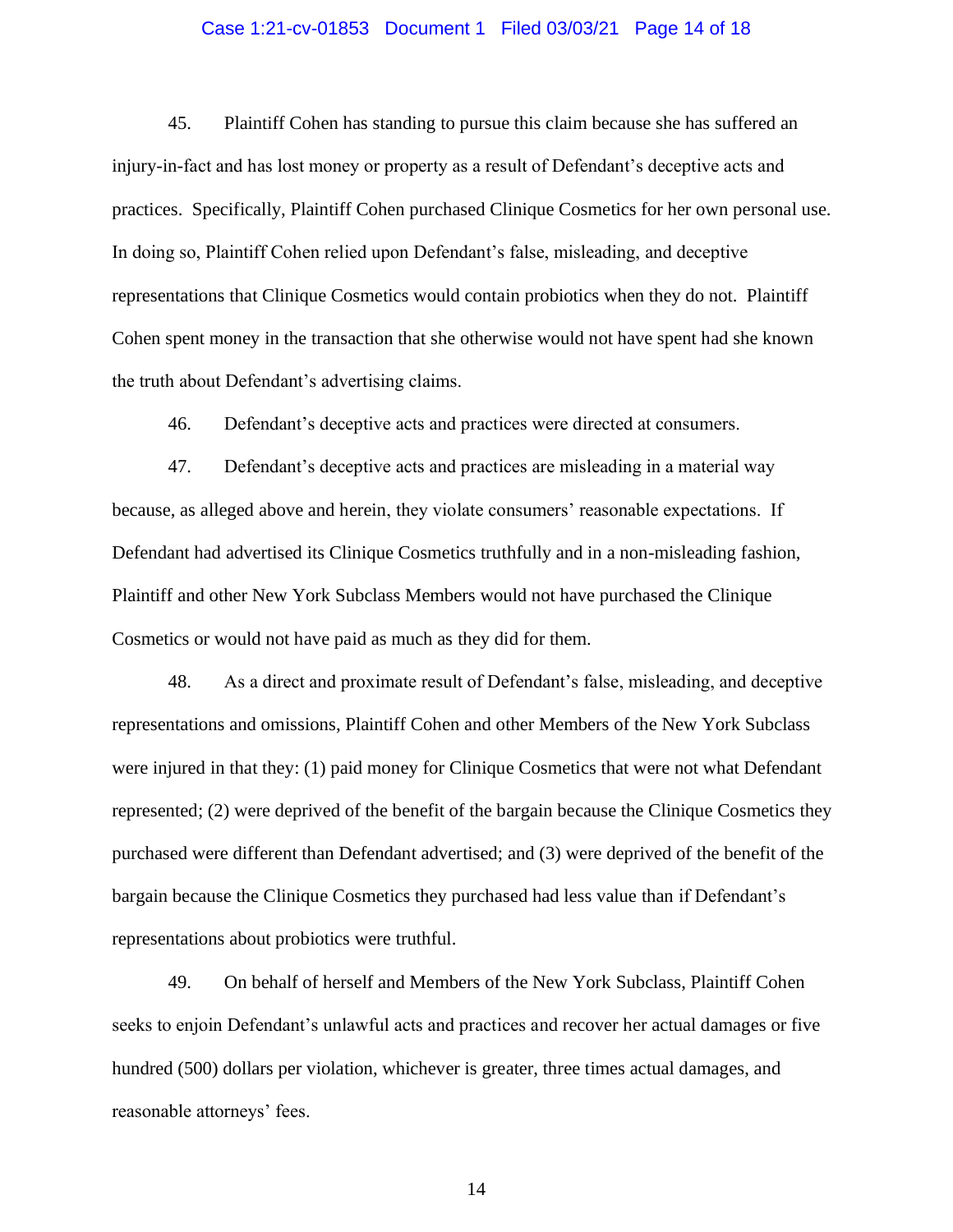## Case 1:21-cv-01853 Document 1 Filed 03/03/21 Page 14 of 18

45. Plaintiff Cohen has standing to pursue this claim because she has suffered an injury-in-fact and has lost money or property as a result of Defendant's deceptive acts and practices. Specifically, Plaintiff Cohen purchased Clinique Cosmetics for her own personal use. In doing so, Plaintiff Cohen relied upon Defendant's false, misleading, and deceptive representations that Clinique Cosmetics would contain probiotics when they do not. Plaintiff Cohen spent money in the transaction that she otherwise would not have spent had she known the truth about Defendant's advertising claims.

46. Defendant's deceptive acts and practices were directed at consumers.

47. Defendant's deceptive acts and practices are misleading in a material way because, as alleged above and herein, they violate consumers' reasonable expectations. If Defendant had advertised its Clinique Cosmetics truthfully and in a non-misleading fashion, Plaintiff and other New York Subclass Members would not have purchased the Clinique Cosmetics or would not have paid as much as they did for them.

48. As a direct and proximate result of Defendant's false, misleading, and deceptive representations and omissions, Plaintiff Cohen and other Members of the New York Subclass were injured in that they: (1) paid money for Clinique Cosmetics that were not what Defendant represented; (2) were deprived of the benefit of the bargain because the Clinique Cosmetics they purchased were different than Defendant advertised; and (3) were deprived of the benefit of the bargain because the Clinique Cosmetics they purchased had less value than if Defendant's representations about probiotics were truthful.

49. On behalf of herself and Members of the New York Subclass, Plaintiff Cohen seeks to enjoin Defendant's unlawful acts and practices and recover her actual damages or five hundred (500) dollars per violation, whichever is greater, three times actual damages, and reasonable attorneys' fees.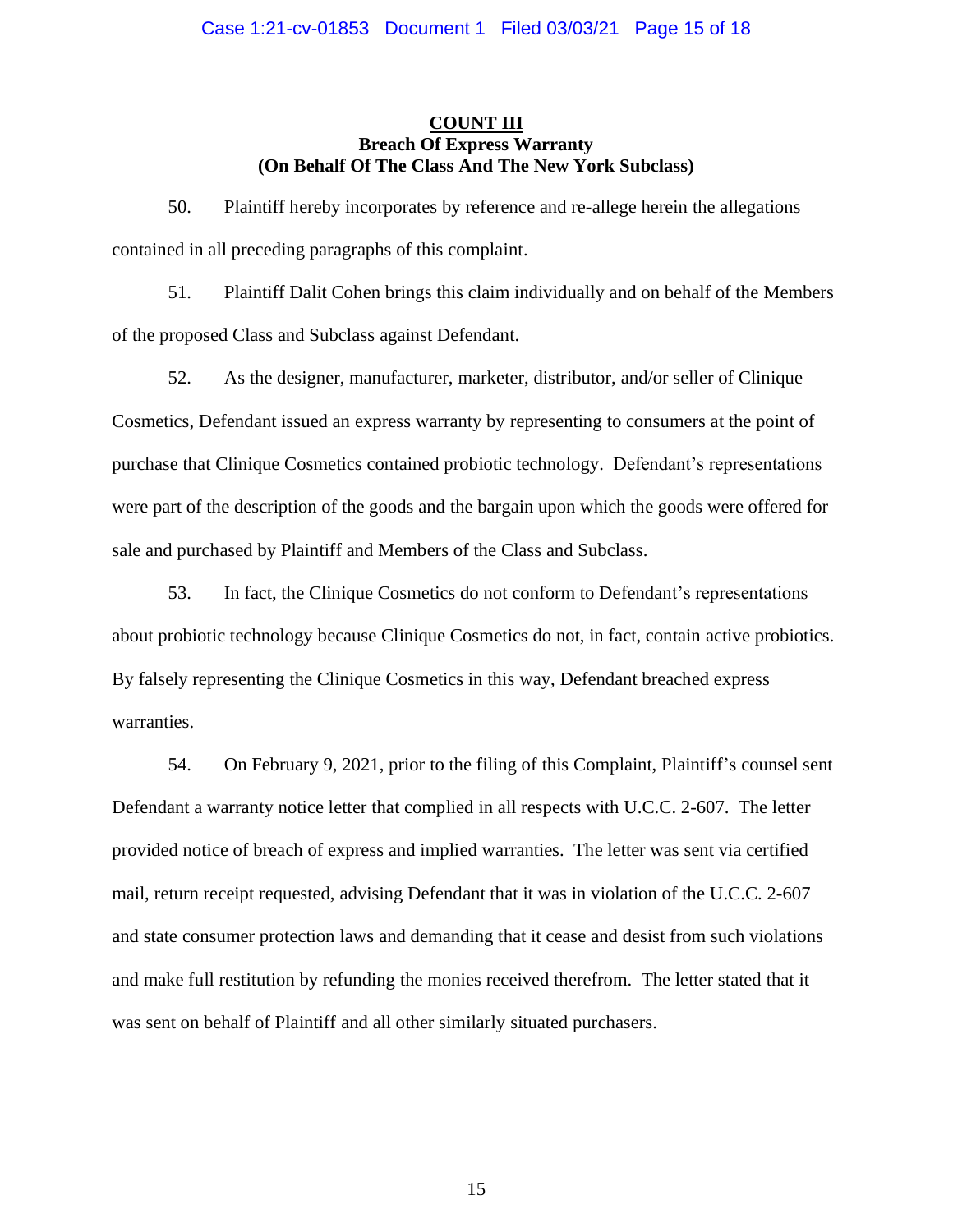# **COUNT III Breach Of Express Warranty (On Behalf Of The Class And The New York Subclass)**

50. Plaintiff hereby incorporates by reference and re-allege herein the allegations contained in all preceding paragraphs of this complaint.

51. Plaintiff Dalit Cohen brings this claim individually and on behalf of the Members of the proposed Class and Subclass against Defendant.

52. As the designer, manufacturer, marketer, distributor, and/or seller of Clinique Cosmetics, Defendant issued an express warranty by representing to consumers at the point of purchase that Clinique Cosmetics contained probiotic technology. Defendant's representations were part of the description of the goods and the bargain upon which the goods were offered for sale and purchased by Plaintiff and Members of the Class and Subclass.

53. In fact, the Clinique Cosmetics do not conform to Defendant's representations about probiotic technology because Clinique Cosmetics do not, in fact, contain active probiotics. By falsely representing the Clinique Cosmetics in this way, Defendant breached express warranties.

54. On February 9, 2021, prior to the filing of this Complaint, Plaintiff's counsel sent Defendant a warranty notice letter that complied in all respects with U.C.C. 2-607. The letter provided notice of breach of express and implied warranties. The letter was sent via certified mail, return receipt requested, advising Defendant that it was in violation of the U.C.C. 2-607 and state consumer protection laws and demanding that it cease and desist from such violations and make full restitution by refunding the monies received therefrom. The letter stated that it was sent on behalf of Plaintiff and all other similarly situated purchasers.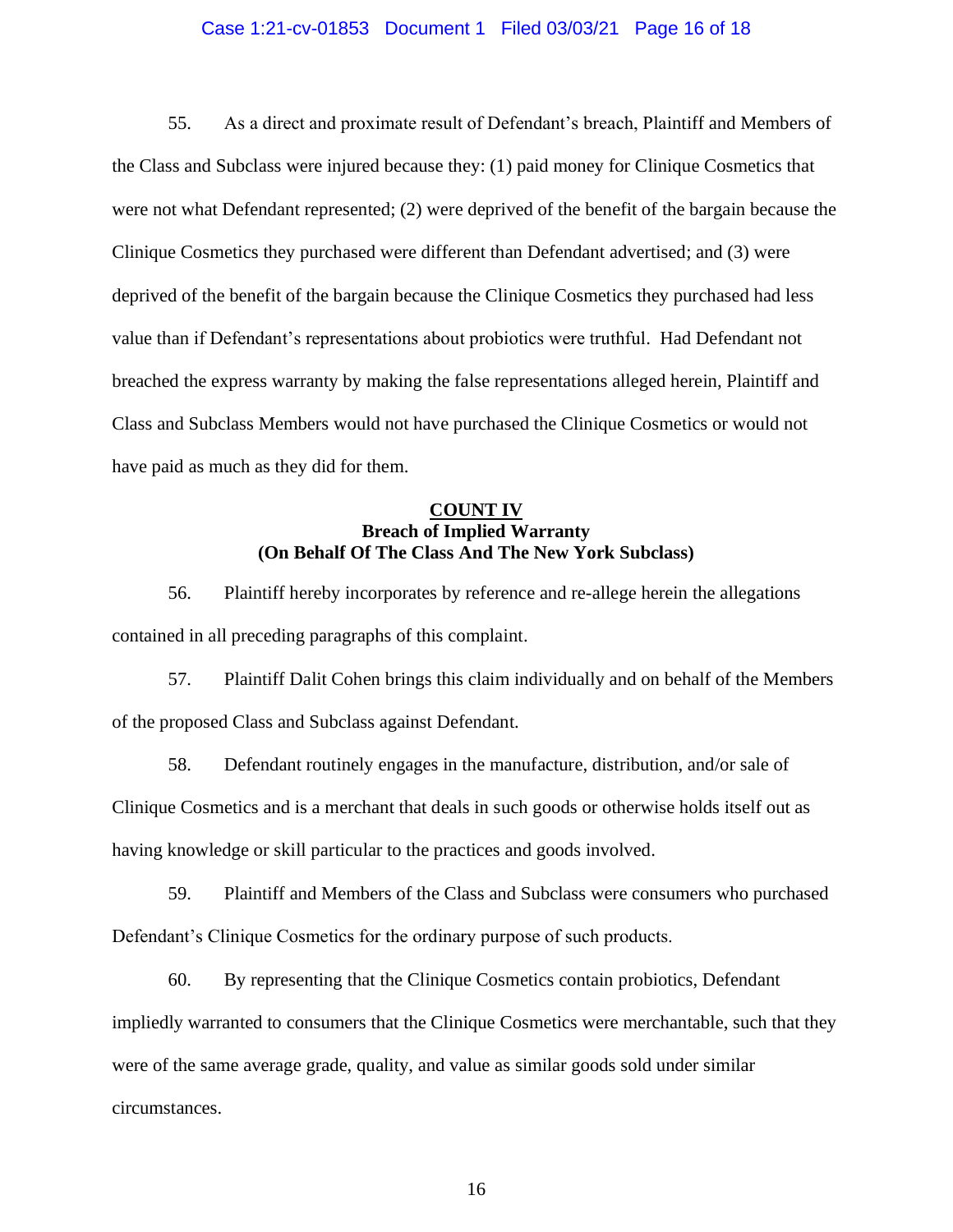## Case 1:21-cv-01853 Document 1 Filed 03/03/21 Page 16 of 18

55. As a direct and proximate result of Defendant's breach, Plaintiff and Members of the Class and Subclass were injured because they: (1) paid money for Clinique Cosmetics that were not what Defendant represented; (2) were deprived of the benefit of the bargain because the Clinique Cosmetics they purchased were different than Defendant advertised; and (3) were deprived of the benefit of the bargain because the Clinique Cosmetics they purchased had less value than if Defendant's representations about probiotics were truthful. Had Defendant not breached the express warranty by making the false representations alleged herein, Plaintiff and Class and Subclass Members would not have purchased the Clinique Cosmetics or would not have paid as much as they did for them.

# **COUNT IV Breach of Implied Warranty (On Behalf Of The Class And The New York Subclass)**

56. Plaintiff hereby incorporates by reference and re-allege herein the allegations contained in all preceding paragraphs of this complaint.

57. Plaintiff Dalit Cohen brings this claim individually and on behalf of the Members of the proposed Class and Subclass against Defendant.

58. Defendant routinely engages in the manufacture, distribution, and/or sale of Clinique Cosmetics and is a merchant that deals in such goods or otherwise holds itself out as having knowledge or skill particular to the practices and goods involved.

59. Plaintiff and Members of the Class and Subclass were consumers who purchased Defendant's Clinique Cosmetics for the ordinary purpose of such products.

60. By representing that the Clinique Cosmetics contain probiotics, Defendant impliedly warranted to consumers that the Clinique Cosmetics were merchantable, such that they were of the same average grade, quality, and value as similar goods sold under similar circumstances.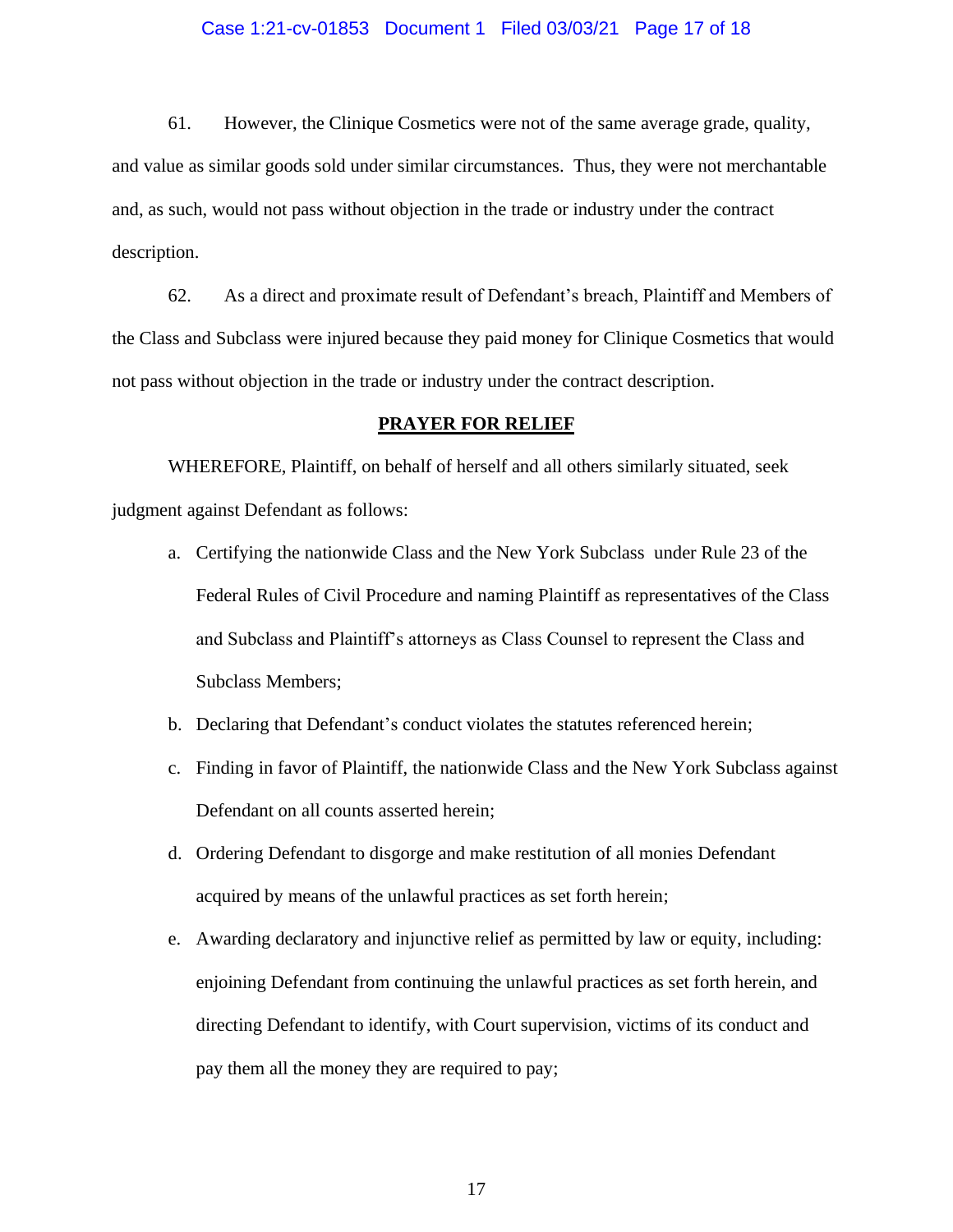## Case 1:21-cv-01853 Document 1 Filed 03/03/21 Page 17 of 18

61. However, the Clinique Cosmetics were not of the same average grade, quality, and value as similar goods sold under similar circumstances. Thus, they were not merchantable and, as such, would not pass without objection in the trade or industry under the contract description.

62. As a direct and proximate result of Defendant's breach, Plaintiff and Members of the Class and Subclass were injured because they paid money for Clinique Cosmetics that would not pass without objection in the trade or industry under the contract description.

## **PRAYER FOR RELIEF**

WHEREFORE, Plaintiff, on behalf of herself and all others similarly situated, seek judgment against Defendant as follows:

- a. Certifying the nationwide Class and the New York Subclass under Rule 23 of the Federal Rules of Civil Procedure and naming Plaintiff as representatives of the Class and Subclass and Plaintiff's attorneys as Class Counsel to represent the Class and Subclass Members;
- b. Declaring that Defendant's conduct violates the statutes referenced herein;
- c. Finding in favor of Plaintiff, the nationwide Class and the New York Subclass against Defendant on all counts asserted herein;
- d. Ordering Defendant to disgorge and make restitution of all monies Defendant acquired by means of the unlawful practices as set forth herein;
- e. Awarding declaratory and injunctive relief as permitted by law or equity, including: enjoining Defendant from continuing the unlawful practices as set forth herein, and directing Defendant to identify, with Court supervision, victims of its conduct and pay them all the money they are required to pay;